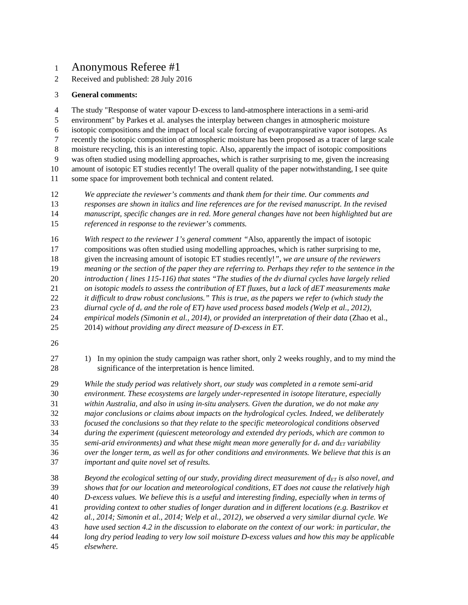# Anonymous Referee #1

Received and published: 28 July 2016

### **General comments:**

 The study "Response of water vapour D-excess to land-atmosphere interactions in a semi-arid environment" by Parkes et al. analyses the interplay between changes in atmospheric moisture isotopic compositions and the impact of local scale forcing of evapotranspirative vapor isotopes. As recently the isotopic composition of atmospheric moisture has been proposed as a tracer of large scale moisture recycling, this is an interesting topic. Also, apparently the impact of isotopic compositions was often studied using modelling approaches, which is rather surprising to me, given the increasing amount of isotopic ET studies recently! The overall quality of the paper notwithstanding, I see quite some space for improvement both technical and content related.

- *We appreciate the reviewer's comments and thank them for their time. Our comments and responses are shown in italics and line references are for the revised manuscript. In the revised manuscript, specific changes are in red. More general changes have not been highlighted but are referenced in response to the reviewer's comments.*
- *With respect to the reviewer 1's general comment "*Also, apparently the impact of isotopic
- compositions was often studied using modelling approaches, which is rather surprising to me,
- given the increasing amount of isotopic ET studies recently!*", we are unsure of the reviewers meaning or the section of the paper they are referring to. Perhaps they refer to the sentence in the*
- *introduction ( lines 115-116) that states "The studies of the dv diurnal cycles have largely relied*
- *on isotopic models to assess the contribution of ET fluxes, but a lack of dET measurements make*
- *it difficult to draw robust conclusions." This is true, as the papers we refer to (which study the*
- *diurnal cycle of d<sup>v</sup> and the role of ET) have used process based models (Welp et al., 2012),*
- *empirical models (Simonin et al., 2014), or provided an interpretation of their data* (Zhao et al.,
- 2014) *without providing any direct measure of D-excess in ET.*
- 
- 27 1) In my opinion the study campaign was rather short, only 2 weeks roughly, and to my mind the significance of the interpretation is hence limited.

 *While the study period was relatively short, our study was completed in a remote semi-arid environment. These ecosystems are largely under-represented in isotope literature, especially within Australia, and also in using in-situ analysers. Given the duration, we do not make any major conclusions or claims about impacts on the hydrological cycles. Indeed, we deliberately focused the conclusions so that they relate to the specific meteorological conditions observed during the experiment (quiescent meteorology and extended dry periods, which are common to semi-arid environments) and what these might mean more generally for d<sup>v</sup> and dET variability over the longer term, as well as for other conditions and environments. We believe that this is an important and quite novel set of results.*

 *Beyond the ecological setting of our study, providing direct measurement of dET is also novel, and shows that for our location and meteorological conditions, ET does not cause the relatively high D-excess values. We believe this is a useful and interesting finding, especially when in terms of providing context to other studies of longer duration and in different locations (e.g. Bastrikov et al., 2014; Simonin et al., 2014; Welp et al., 2012), we observed a very similar diurnal cycle. We have used section 4.2 in the discussion to elaborate on the context of our work: in particular, the long dry period leading to very low soil moisture D-excess values and how this may be applicable elsewhere.*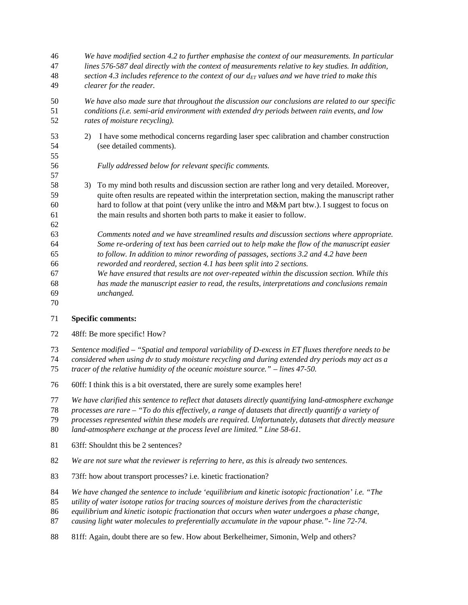*We have modified section 4.2 to further emphasise the context of our measurements. In particular lines 576-587 deal directly with the context of measurements relative to key studies. In addition, section 4.3 includes reference to the context of our dET values and we have tried to make this clearer for the reader. We have also made sure that throughout the discussion our conclusions are related to our specific conditions (i.e. semi-arid environment with extended dry periods between rain events, and low rates of moisture recycling).* 2) I have some methodical concerns regarding laser spec calibration and chamber construction (see detailed comments). *Fully addressed below for relevant specific comments.* 3) To my mind both results and discussion section are rather long and very detailed. Moreover, quite often results are repeated within the interpretation section, making the manuscript rather hard to follow at that point (very unlike the intro and M&M part btw.). I suggest to focus on the main results and shorten both parts to make it easier to follow. *Comments noted and we have streamlined results and discussion sections where appropriate. Some re-ordering of text has been carried out to help make the flow of the manuscript easier to follow. In addition to minor rewording of passages, sections 3.2 and 4.2 have been reworded and reordered, section 4.1 has been split into 2 sections. We have ensured thatresults are not over-repeated within the discussion section. While this has made the manuscript easier to read, the results, interpretations and conclusions remain unchanged.* 

#### **Specific comments:**

- 48ff: Be more specific! How?
- *Sentence modified – "Spatial and temporal variability of D-excess in ET fluxes therefore needs to be*
- *considered when using dv to study moisture recycling and during extended dry periods may act as a*
- *tracer of the relative humidity of the oceanic moisture source." – lines 47-50.*
- 60ff: I think this is a bit overstated, there are surely some examples here!
- *We have clarified this sentence to reflect that datasets directly quantifying land-atmosphere exchange*
- *processes are rare – "To do this effectively, a range of datasets that directly quantify a variety of*
- *processes represented within these models are required. Unfortunately, datasets that directly measure*
- *land-atmosphere exchange at the process level are limited." Line 58-61.*
- 63ff: Shouldnt this be 2 sentences?
- *We are not sure what the reviewer is referring to here, as this is already two sentences.*
- 73ff: how about transport processes? i.e. kinetic fractionation?
- *We have changed the sentence to include 'equilibrium and kinetic isotopic fractionation' i.e. "The*
- *utility of water isotope ratios for tracing sources of moisture derives from the characteristic*
- *equilibrium and kinetic isotopic fractionation that occurs when water undergoes a phase change,*
- *causing light water molecules to preferentially accumulate in the vapour phase."- line 72-74.*
- 81ff: Again, doubt there are so few. How about Berkelheimer, Simonin, Welp and others?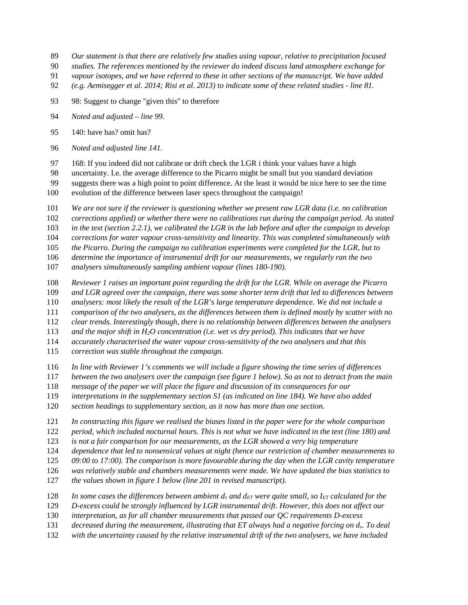- *Our statement is that there are relatively few studies using vapour, relative to precipitation focused*
- *studies. The references mentioned by the reviewer do indeed discuss land atmosphere exchange for*
- *vapour isotopes, and we have referred to these in other sections of the manuscript. We have added*
- *(e.g. Aemisegger et al. 2014; Risi et al. 2013) to indicate some of these related studies - line 81.*
- 98: Suggest to change "given this" to therefore
- *Noted and adjusted – line 99.*
- 140: have has? omit has?
- *Noted and adjusted line 141.*
- 168: If you indeed did not calibrate or drift check the LGR i think your values have a high

uncertainty. I.e. the average difference to the Picarro might be small but you standard deviation

suggests there was a high point to point difference. At the least it would be nice here to see the time

- evolution of the difference between laser specs throughout the campaign!
- *We are not sure if the reviewer is questioning whether we present raw LGR data (i.e. no calibration*
- *corrections applied) or whether there were no calibrations run during the campaign period. As stated*

*in the text (section 2.2.1), we calibrated the LGR in the lab before and after the campaign to develop*

*corrections for water vapour cross-sensitivity and linearity. This was completed simultaneously with*

*the Picarro. During the campaign no calibration experiments were completed for the LGR, but to*

*determine the importance of instrumental drift for our measurements, we regularly ran the two*

*analysers simultaneously sampling ambient vapour (lines 180-190).*

- *Reviewer 1 raises an important point regarding the drift for the LGR. While on average the Picarro*
- *and LGR agreed over the campaign, there was some shorter term drift that led to differences between*

*analysers: most likely the result of the LGR's large temperature dependence. We did not include a*

- *comparison of the two analysers, as the differences between them is defined mostly by scatter with no*
- *clear trends. Interestingly though, there is no relationship between differences between the analysers*
- *and the major shift in H2O concentration (i.e. wet vs dry period). This indicates that we have*

*accurately characterised the water vapour cross-sensitivity of the two analysers and that this*

- *correction was stable throughout the campaign.*
- *In line with Reviewer 1's comments we will include a figure showing the time series of differences*
- *between the two analysers over the campaign (see figure 1 below). So as not to detract from the main*
- *message of the paper we will place the figure and discussion of its consequences for our*
- *interpretations in the supplementary section S1 (as indicated on line 184). We have also added*
- *section headings to supplementary section, as it now has more than one section.*
- *In constructing this figure we realised the biases listed in the paper were for the whole comparison*

*period, which included nocturnal hours. This is not what we have indicated in the text (line 180) and*

*is not a fair comparison for our measurements, as the LGR showed a very big temperature*

- *dependence that led to nonsensical values at night (hence our restriction of chamber measurements to*
- *09:00 to 17:00). The comparison is more favourable during the day when the LGR cavity temperature*

*was relatively stable and chambers measurements were made. We have updated the bias statistics to*

- *the values shown in figure 1 below (line 201 in revised manuscript).*
- 128 *In some cases the differences between ambient*  $d_v$  *and*  $d_{ET}$  *were quite small, so*  $I_{ET}$  *calculated for the*
- *D-excess could be strongly influenced by LGR instrumental drift. However, this does not affect our*
- *interpretation, as for all chamber measurements that passed our QC requirements D-excess*
- *decreased during the measurement, illustrating that ET always had a negative forcing on dv. To deal*
- *with the uncertainty caused by the relative instrumental drift of the two analysers, we have included*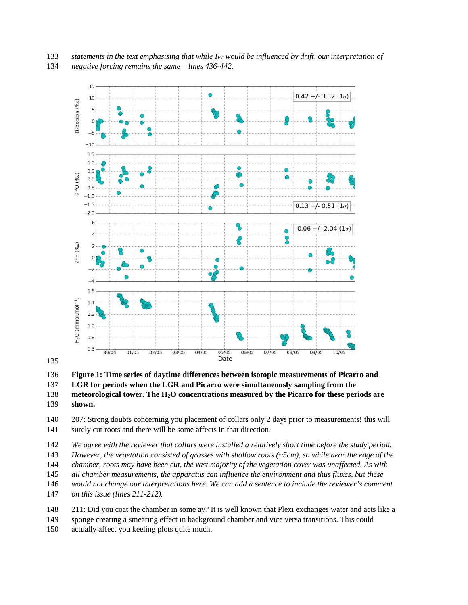*statements in the text emphasising that while IET would be influenced by drift, our interpretation of negative forcing remains the same – lines 436-442.*



#### 

**Figure 1: Time series of daytime differences between isotopic measurements of Picarro and**

**LGR for periods when the LGR and Picarro were simultaneously sampling from the**

actually affect you keeling plots quite much.

 **meteorological tower. The H2O concentrations measured by the Picarro for these periods are shown.**

 207: Strong doubts concerning you placement of collars only 2 days prior to measurements! this will surely cut roots and there will be some affects in that direction.

*We agree with the reviewer that collars were installed a relatively short time before the study period.*

*However, the vegetation consisted of grasses with shallow roots (~5cm), so while near the edge of the*

*chamber, roots may have been cut, the vast majority of the vegetation cover was unaffected. As with*

*all chamber measurements, the apparatus can influence the environment and thus fluxes, but these*

*would not change our interpretations here. We can add a sentence to include the reviewer's comment*

*on this issue (lines 211-212).*

211: Did you coat the chamber in some ay? It is well known that Plexi exchanges water and acts like a

sponge creating a smearing effect in background chamber and vice versa transitions. This could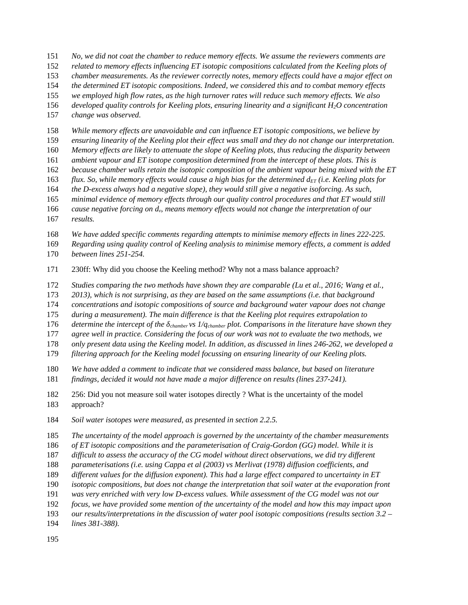*No, we did not coat the chamber to reduce memory effects. We assume the reviewers comments are*

*related to memory effects influencing ET isotopic compositions calculated from the Keeling plots of*

*chamber measurements. As the reviewer correctly notes, memory effects could have a major effect on*

*the determined ET isotopic compositions. Indeed, we considered this and to combat memory effects*

*we employed high flow rates, as the high turnover rates will reduce such memory effects. We also*

*developed quality controls for Keeling plots, ensuring linearity and a significant H2O concentration*

*change was observed.*

*While memory effects are unavoidable and can influence ET isotopic compositions, we believe by*

*ensuring linearity of the Keeling plot their effect was small and they do not change our interpretation.*

*Memory effects are likely to attenuate the slope of Keeling plots, thus reducing the disparity between*

*ambient vapour and ET isotope composition determined from the intercept of these plots. This is*

*because chamber walls retain the isotopic composition of the ambient vapour being mixed with the ET*

163 *flux. So, while memory effects would cause a high bias for the determined*  $d_{ET}$  *(i.e. Keeling plots for* 

*the D-excess always had a negative slope), they would still give a negative isoforcing. As such,*

 *minimal evidence of memory effects through our quality control procedures and that ET would still cause negative forcing on dv, means memory effects would not change the interpretation of our*

*results.*

*We have added specific comments regarding attempts to minimise memory effects in lines 222-225.*

 *Regarding using quality control of Keeling analysis to minimise memory effects, a comment is added between lines 251-254.*

230ff: Why did you choose the Keeling method? Why not a mass balance approach?

*Studies comparing the two methods have shown they are comparable (Lu et al., 2016; Wang et al.,*

*2013), which is not surprising, as they are based on the same assumptions (i.e. that background*

*concentrations and isotopic compositions of source and background water vapour does not change*

*during a measurement). The main difference is that the Keeling plot requires extrapolation to*

*determine the intercept of the δchamber vs 1/qchamber plot. Comparisons in the literature have shown they*

*agree well in practice. Considering the focus of our work was not to evaluate the two methods, we*

*only present data using the Keeling model. In addition, as discussed in lines 246-262, we developed a*

*filtering approach for the Keeling model focussing on ensuring linearity of our Keeling plots.*

*We have added a comment to indicate that we considered mass balance, but based on literature*

*findings, decided it would not have made a major difference on results (lines 237-241).*

 256: Did you not measure soil water isotopes directly ? What is the uncertainty of the model approach?

*Soil water isotopes were measured, as presented in section 2.2.5.*

*The uncertainty of the model approach is governed by the uncertainty of the chamber measurements*

*of ET isotopic compositions and the parameterisation of Craig-Gordon (GG) model. While it is*

*difficult to assess the accuracy of the CG model without direct observations, we did try different*

*parameterisations (i.e. using Cappa et al (2003) vs Merlivat (1978) diffusion coefficients, and*

*different values for the diffusion exponent). This had a large effect compared to uncertainty in ET*

*isotopic compositions, but does not change the interpretation that soil water at the evaporation front*

*was very enriched with very low D-excess values. While assessment of the CG model was not our*

*focus, we have provided some mention of the uncertainty of the model and how this may impact upon*

*our results/interpretations in the discussion of water pool isotopic compositions (results section 3.2 –*

*lines 381-388).*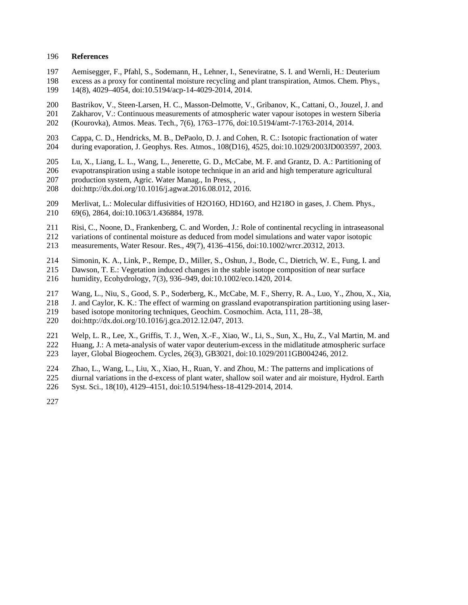#### **References**

- Aemisegger, F., Pfahl, S., Sodemann, H., Lehner, I., Seneviratne, S. I. and Wernli, H.: Deuterium
- excess as a proxy for continental moisture recycling and plant transpiration, Atmos. Chem. Phys., 14(8), 4029–4054, doi:10.5194/acp-14-4029-2014, 2014.
- 200 Bastrikov, V., Steen-Larsen, H. C., Masson-Delmotte, V., Gribanov, K., Cattani, O., Jouzel, J. and 201 Zakharov, V.: Continuous measurements of atmospheric water vapour isotopes in western Siberia
- 201 Zakharov, V.: Continuous measurements of atmospheric water vapour isotopes in western Siberia<br>202 (Kourovka), Atmos. Meas. Tech., 7(6), 1763–1776, doi:10.5194/amt-7-1763-2014, 2014.
- (Kourovka), Atmos. Meas. Tech., 7(6), 1763–1776, doi:10.5194/amt-7-1763-2014, 2014.
- 203 Cappa, C. D., Hendricks, M. B., DePaolo, D. J. and Cohen, R. C.: Isotopic fractionation of water<br>204 during evaporation. J. Geophys. Res. Atmos., 108(D16), 4525, doi:10.1029/2003JD003597, 2003 during evaporation, J. Geophys. Res. Atmos., 108(D16), 4525, doi:10.1029/2003JD003597, 2003.
- Lu, X., Liang, L. L., Wang, L., Jenerette, G. D., McCabe, M. F. and Grantz, D. A.: Partitioning of
- evapotranspiration using a stable isotope technique in an arid and high temperature agricultural
- 207 production system, Agric. Water Manag., In Press, ,<br>208 doi:http://dx.doi.org/10.1016/j.agwat.2016.08.012, 2
- doi:http://dx.doi.org/10.1016/j.agwat.2016.08.012, 2016.
- Merlivat, L.: Molecular diffusivities of H2O16O, HD16O, and H218O in gases, J. Chem. Phys., 69(6), 2864, doi:10.1063/1.436884, 1978.
- Risi, C., Noone, D., Frankenberg, C. and Worden, J.: Role of continental recycling in intraseasonal
- variations of continental moisture as deduced from model simulations and water vapor isotopic
- measurements, Water Resour. Res., 49(7), 4136–4156, doi:10.1002/wrcr.20312, 2013.
- 214 Simonin, K. A., Link, P., Rempe, D., Miller, S., Oshun, J., Bode, C., Dietrich, W. E., Fung, I. and 215 Dawson. T. E.: Vegetation induced changes in the stable isotope composition of near surface
- Dawson, T. E.: Vegetation induced changes in the stable isotope composition of near surface humidity, Ecohydrology, 7(3), 936–949, doi:10.1002/eco.1420, 2014.
- Wang, L., Niu, S., Good, S. P., Soderberg, K., McCabe, M. F., Sherry, R. A., Luo, Y., Zhou, X., Xia,
- J. and Caylor, K. K.: The effect of warming on grassland evapotranspiration partitioning using laser-
- based isotope monitoring techniques, Geochim. Cosmochim. Acta, 111, 28–38,
- doi:http://dx.doi.org/10.1016/j.gca.2012.12.047, 2013.
- 221 Welp, L. R., Lee, X., Griffis, T. J., Wen, X.-F., Xiao, W., Li, S., Sun, X., Hu, Z., Val Martin, M. and 222 Huang. J.: A meta-analysis of water vapor deuterium-excess in the midlatitude atmospheric surface Huang, J.: A meta-analysis of water vapor deuterium-excess in the midlatitude atmospheric surface
- layer, Global Biogeochem. Cycles, 26(3), GB3021, doi:10.1029/2011GB004246, 2012.
- 
- 224 Zhao, L., Wang, L., Liu, X., Xiao, H., Ruan, Y. and Zhou, M.: The patterns and implications of diurnal variations in the d-excess of plant water. shallow soil water and air moisture. Hydrol. Ea 225 diurnal variations in the d-excess of plant water, shallow soil water and air moisture, Hydrol. Earth 226 Syst. Sci., 18(10), 4129–4151, doi:10.5194/hess-18-4129-2014, 2014.
- Syst. Sci., 18(10), 4129–4151, doi:10.5194/hess-18-4129-2014, 2014.
-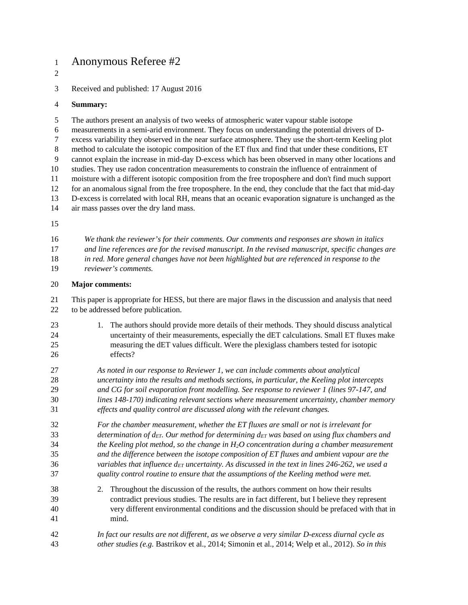# Anonymous Referee #2

Received and published: 17 August 2016

### **Summary:**

The authors present an analysis of two weeks of atmospheric water vapour stable isotope

measurements in a semi-arid environment. They focus on understanding the potential drivers of D-

excess variability they observed in the near surface atmosphere. They use the short-term Keeling plot

method to calculate the isotopic composition of the ET flux and find that under these conditions, ET

 cannot explain the increase in mid-day D-excess which has been observed in many other locations and studies. They use radon concentration measurements to constrain the influence of entrainment of

moisture with a different isotopic composition from the free troposphere and don't find much support

for an anomalous signal from the free troposphere. In the end, they conclude that the fact that mid-day

 D-excess is correlated with local RH, means that an oceanic evaporation signature is unchanged as the air mass passes over the dry land mass.

 *We thank the reviewer's for their comments. Our comments and responses are shown in italics and line references are for the revised manuscript. In the revised manuscript, specific changes are in red. More general changes have not been highlighted but are referenced in response to the reviewer's comments.*

## **Major comments:**

 This paper is appropriate for HESS, but there are major flaws in the discussion and analysis that need to be addressed before publication.

 1. The authors should provide more details of their methods. They should discuss analytical uncertainty of their measurements, especially the dET calculations. Small ET fluxes make measuring the dET values difficult. Were the plexiglass chambers tested for isotopic effects?

 *As noted in our response to Reviewer 1, we can include comments about analytical uncertainty into the results and methods sections, in particular, the Keeling plot intercepts and CG for soil evaporation front modelling. See response to reviewer 1 (lines 97-147, and lines 148-170) indicating relevant sections where measurement uncertainty, chamber memory effects and quality control are discussed along with the relevant changes.*

 *For the chamber measurement, whether the ET fluxes are small or not is irrelevant for determination of dET. Our method for determining dET was based on using flux chambers and the Keeling plot method, so the change in H2O concentration during a chamber measurement and the difference between the isotope composition of ET fluxes and ambient vapour are the variables that influence dET uncertainty. As discussed in the text in lines 246-262, we used a quality control routine to ensure that the assumptions of the Keeling method were met.*

- 2. Throughout the discussion of the results, the authors comment on how their results contradict previous studies. The results are in fact different, but I believe they represent very different environmental conditions and the discussion should be prefaced with that in mind.
- *In fact our results are not different, as we observe a very similar D-excess diurnal cycle as other studies (e.g.* Bastrikov et al., 2014; Simonin et al., 2014; Welp et al., 2012)*. So in this*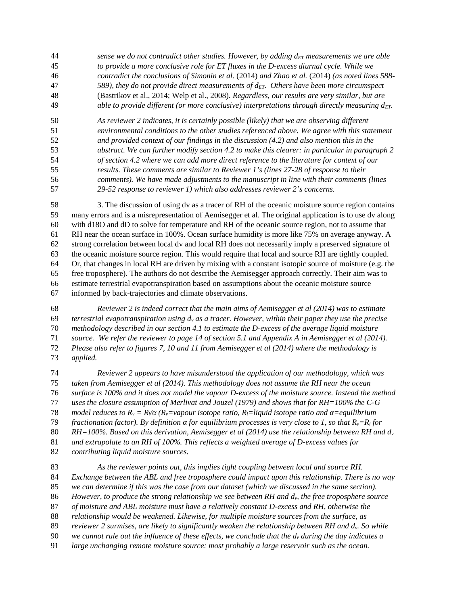- *sense we do not contradict other studies. However, by adding dET measurements we are able to provide a more conclusive role for ET fluxes in the D-excess diurnal cycle. While we contradict the conclusions of Simonin et al.* (2014) *and Zhao et al.* (2014) *(as noted lines 588- 589), they do not provide direct measurements of dET. Others have been more circumspect* (Bastrikov et al., 2014; Welp et al., 2008)*. Regardless, our results are very similar, but are able to provide different (or more conclusive) interpretations through directly measuring dET.*
- *As reviewer 2 indicates, it is certainly possible (likely) that we are observing different environmental conditions to the other studies referenced above. We agree with this statement and provided context of our findings in the discussion (4.2) and also mention this in the abstract. We can further modify section 4.2 to make this clearer: in particular in paragraph 2 of section 4.2 where we can add more direct reference to the literature for context of our results. These comments are similar to Reviewer 1's (lines 27-28 of response to their comments). We have made adjustments to the manuscript in line with their comments (lines 29-52 response to reviewer 1) which also addresses reviewer 2's concerns.*

 3. The discussion of using dv as a tracer of RH of the oceanic moisture source region contains many errors and is a misrepresentation of Aemisegger et al. The original application is to use dv along with d18O and dD to solve for temperature and RH of the oceanic source region, not to assume that RH near the ocean surface in 100%. Ocean surface humidity is more like 75% on average anyway. A strong correlation between local dv and local RH does not necessarily imply a preserved signature of the oceanic moisture source region. This would require that local and source RH are tightly coupled. Or, that changes in local RH are driven by mixing with a constant isotopic source of moisture (e.g. the free troposphere). The authors do not describe the Aemisegger approach correctly. Their aim was to estimate terrestrial evapotranspiration based on assumptions about the oceanic moisture source informed by back-trajectories and climate observations.

 *Reviewer 2 is indeed correct that the main aims of Aemisegger et al (2014) was to estimate terrestrial evapotranspiration using d<sup>v</sup> as a tracer. However, within their paper they use the precise methodology described in our section 4.1 to estimate the D-excess of the average liquid moisture source. We refer the reviewer to page 14 of section 5.1 and Appendix A in Aemisegger et al (2014). Please also refer to figures 7, 10 and 11 from Aemisegger et al (2014) where the methodology is applied.*

 *Reviewer 2 appears to have misunderstood the application of our methodology, which was taken from Aemisegger et al (2014). This methodology does not assume the RH near the ocean surface is 100% and it does not model the vapour D-excess of the moisture source. Instead the method uses the closure assumption of Merlivat and Jouzel (1979) and shows that for RH=100% the C-G model reduces to*  $R_v = R / (R_v = v \text{a} \cdot v \text{b})$  *(R<sub>v</sub>* = variance *natio, R<sub>i</sub>* = *liquid isotope ratio and = equilibrium fractionation factor). By definition for equilibrium processes is very close to 1, so that*  $R_v = R_l$  *for RH=100%. Based on this derivation, Aemisegger et al (2014) use the relationship between RH and d<sup>v</sup> and extrapolate to an RH of 100%. This reflects a weighted average of D-excess values for contributing liquid moisture sources.*

 *As the reviewer points out, this implies tight coupling between local and source RH. Exchange between the ABL and free troposphere could impact upon this relationship. There is no way we can determine if this was the case from our dataset (which we discussed in the same section). However, to produce the strong relationship we see between RH and dv, the free troposphere source of moisture and ABL moisture must have a relatively constant D-excess and RH, otherwise the relationship would be weakened. Likewise, for multiple moisture sources from the surface, as reviewer 2 surmises, are likely to significantly weaken the relationship between RH and dv. So while we cannot rule out the influence of these effects, we conclude that the d<sup>v</sup> during the day indicates a large unchanging remote moisture source: most probably a large reservoir such as the ocean.*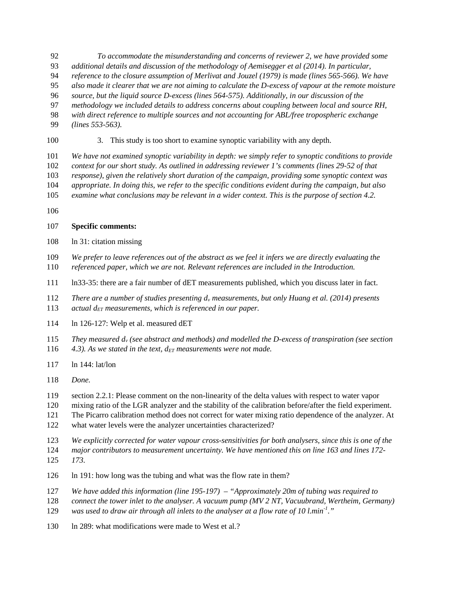- *To accommodate the misunderstanding and concerns of reviewer 2, we have provided some*
- *additional details and discussion of the methodology of Aemisegger et al (2014). In particular,*
- *reference to the closure assumption of Merlivat and Jouzel (1979) is made (lines 565-566). We have*
- *also made it clearer that we are not aiming to calculate the D-excess of vapour at the remote moisture*
- *source, but the liquid source D-excess (lines 564-575). Additionally, in our discussion of the*
- *methodology we included details to address concerns about coupling between local and source RH,*
- *with direct reference to multiple sources and not accounting for ABL/free tropospheric exchange*
- *(lines 553-563).*
- 3. This study is too short to examine synoptic variability with any depth.
- *We have not examined synoptic variability in depth: we simply refer to synoptic conditions to provide*
- *context for our short study. As outlined in addressing reviewer 1's comments (lines 29-52 of that*
- *response), given the relatively short duration of the campaign, providing some synoptic context was*
- *appropriate. In doing this, we refer to the specific conditions evident during the campaign, but also*
- *examine what conclusions may be relevant in a wider context. This is the purpose of section 4.2.*
- 

## **Specific comments:**

- ln 31: citation missing
- *We prefer to leave references out of the abstract as we feel it infers we are directly evaluating the referenced paper, which we are not. Relevant references are included in the Introduction.*
- ln33-35: there are a fair number of dET measurements published, which you discuss later in fact.
- *There are a number of studies presenting d<sup>v</sup> measurements, but only Huang et al. (2014) presents*
- *actual dET measurements, which is referenced in our paper.*
- ln 126-127: Welp et al. measured dET
- *They measured d<sup>v</sup> (see abstract and methods) and modelled the D-excess of transpiration (see section*
- *4.3). As we stated in the text, dET measurements were not made.*
- ln 144: lat/lon
- *Done.*
- section 2.2.1: Please comment on the non-linearity of the delta values with respect to water vapor
- mixing ratio of the LGR analyzer and the stability of the calibration before/after the field experiment.
- The Picarro calibration method does not correct for water mixing ratio dependence of the analyzer. At
- what water levels were the analyzer uncertainties characterized?
- *We explicitly corrected for water vapour cross-sensitivities for both analysers, since this is one of the*
- *major contributors to measurement uncertainty. We have mentioned this on line 163 and lines 172- 173.*
- ln 191: how long was the tubing and what was the flow rate in them?
- *We have added this information (line 195-197) – "Approximately 20m of tubing was required to*
- *connect the tower inlet to the analyser. A vacuum pump (MV 2 NT, Vacuubrand, Wertheim, Germany)*
- 129 was used to draw air through all inlets to the analyser at a flow rate of 10 l.min<sup>-1</sup>."
- 130 ln 289: what modifications were made to West et al.?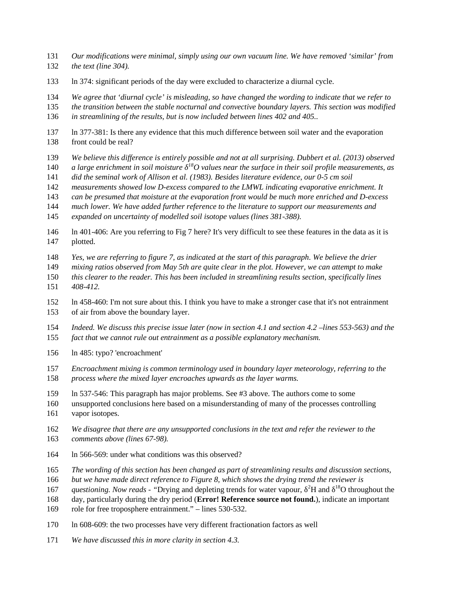- *Our modifications were minimal, simply using our own vacuum line. We have removed 'similar' from the text (line 304).*
- ln 374: significant periods of the day were excluded to characterize a diurnal cycle.
- *We agree that 'diurnal cycle' is misleading, so have changed the wording to indicate that we refer to*
- *the transition between the stable nocturnal and convective boundary layers. This section was modified*

*in streamlining of the results, but is now included between lines 402 and 405..*

- ln 377-381: Is there any evidence that this much difference between soil water and the evaporation front could be real?
- *We believe this difference is entirely possible and not at all surprising. Dubbert et al. (2013) observed*
- *a large enrichment in soil moisture* <sup>18</sup>*O values near the surface in their soil profile measurements, as*
- *did the seminal work of Allison et al. (1983). Besides literature evidence, our 0-5 cm soil*
- *measurements showed low D-excess compared to the LMWL indicating evaporative enrichment. It*
- *can be presumed that moisture at the evaporation front would be much more enriched and D-excess*
- *much lower. We have added further reference to the literature to support our measurements and*
- *expanded on uncertainty of modelled soil isotope values (lines 381-388).*
- ln 401-406: Are you referring to Fig 7 here? It's very difficult to see these features in the data as it is plotted.
- *Yes, we are referring to figure 7, as indicated at the start of this paragraph. We believe the drier*
- *mixing ratios observed from May 5th are quite clear in the plot. However, we can attempt to make*
- *this clearer to the reader. This has been included in streamlining results section, specifically lines 408-412.*
- ln 458-460: I'm not sure about this. I think you have to make a stronger case that it's not entrainment of air from above the boundary layer.
- *Indeed. We discuss this precise issue later (now in section 4.1 and section 4.2 –lines 553-563) and the fact that we cannot rule out entrainment as a possible explanatory mechanism.*
- ln 485: typo? 'encroachment'
- *Encroachment mixing is common terminology used in boundary layer meteorology, referring to the process where the mixed layer encroaches upwards as the layer warms.*
- ln 537-546: This paragraph has major problems. See #3 above. The authors come to some
- unsupported conclusions here based on a misunderstanding of many of the processes controlling
- vapor isotopes.
- *We disagree that there are any unsupported conclusions in the text and refer the reviewer to the comments above (lines 67-98).*
- ln 566-569: under what conditions was this observed?
- *The wording of this section has been changed as part of streamlining results and discussion sections,*
- *but we have made direct reference to Figure 8, which shows the drying trend the reviewer is*
- *duestioning. Now reads* "Drying and depleting trends for water vapour, <sup>2</sup>H and <sup>18</sup>O throughout the
- day, particularly during the dry period (**Error! Reference source not found.**), indicate an important
- role for free troposphere entrainment." lines 530-532.
- ln 608-609: the two processes have very different fractionation factors as well
- *We have discussed this in more clarity in section 4.3.*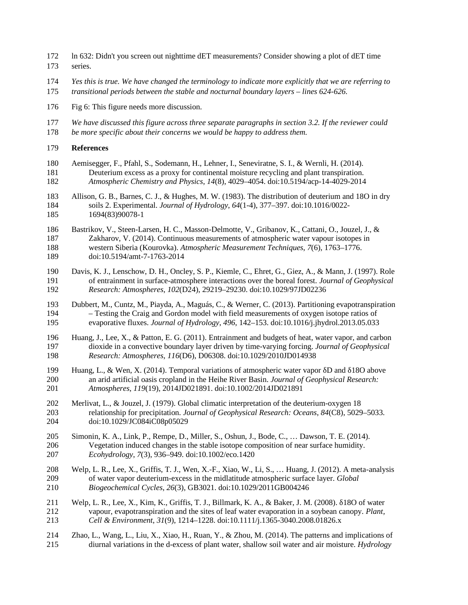- ln 632: Didn't you screen out nighttime dET measurements? Consider showing a plot of dET time series.
- *Yes this is true. We have changed the terminology to indicate more explicitly that we are referring to*
- *transitional periods between the stable and nocturnal boundary layers – lines 624-626.*
- Fig 6: This figure needs more discussion.
- *We have discussed this figure across three separate paragraphs in section 3.2. If the reviewer could*
- *be more specific about their concerns we would be happy to address them.*
- **References**
- Aemisegger, F., Pfahl, S., Sodemann, H., Lehner, I., Seneviratne, S. I., & Wernli, H. (2014). Deuterium excess as a proxy for continental moisture recycling and plant transpiration. *Atmospheric Chemistry and Physics*, *14*(8), 4029–4054. doi:10.5194/acp-14-4029-2014
- Allison, G. B., Barnes, C. J., & Hughes, M. W. (1983). The distribution of deuterium and 18O in dry soils 2. Experimental. *Journal of Hydrology*, *64*(1-4), 377–397. doi:10.1016/0022- 1694(83)90078-1
- Bastrikov, V., Steen-Larsen, H. C., Masson-Delmotte, V., Gribanov, K., Cattani, O., Jouzel, J., & Zakharov, V. (2014). Continuous measurements of atmospheric water vapour isotopes in western Siberia (Kourovka). *Atmospheric Measurement Techniques*, *7*(6), 1763–1776. doi:10.5194/amt-7-1763-2014
- Davis, K. J., Lenschow, D. H., Oncley, S. P., Kiemle, C., Ehret, G., Giez, A., & Mann, J. (1997). Role of entrainment in surface-atmosphere interactions over the boreal forest. *Journal of Geophysical Research: Atmospheres*, *102*(D24), 29219–29230. doi:10.1029/97JD02236
- Dubbert, M., Cuntz, M., Piayda, A., Maguás, C., & Werner, C. (2013). Partitioning evapotranspiration – Testing the Craig and Gordon model with field measurements of oxygen isotope ratios of evaporative fluxes. *Journal of Hydrology*, *496*, 142–153. doi:10.1016/j.jhydrol.2013.05.033
- 196 Huang, J., Lee, X., & Patton, E. G. (2011). Entrainment and budgets of heat, water vapor, and carbon<br>197 dioxide in a convective boundary layer driven by time-varying forcing. *Journal of Geophysical*  dioxide in a convective boundary layer driven by time-varying forcing. *Journal of Geophysical Research: Atmospheres*, *116*(D6), D06308. doi:10.1029/2010JD014938
- 199 Huang, L., & Wen, X. (2014). Temporal variations of atmospheric water vapor D and 18O above an arid artificial oasis cropland in the Heihe River Basin. *Journal of Geophysical Research: Atmospheres*, *119*(19), 2014JD021891. doi:10.1002/2014JD021891
- Merlivat, L., & Jouzel, J. (1979). Global climatic interpretation of the deuterium-oxygen 18 relationship for precipitation. *Journal of Geophysical Research: Oceans*, *84*(C8), 5029–5033. doi:10.1029/JC084iC08p05029
- Simonin, K. A., Link, P., Rempe, D., Miller, S., Oshun, J., Bode, C., … Dawson, T. E. (2014). Vegetation induced changes in the stable isotope composition of near surface humidity. *Ecohydrology*, *7*(3), 936–949. doi:10.1002/eco.1420
- 208 Welp, L. R., Lee, X., Griffis, T. J., Wen, X.-F., Xiao, W., Li, S., ... Huang, J. (2012). A meta-analysis of water vapor deuterium-excess in the midlatitude atmospheric surface layer. *Global*  of water vapor deuterium-excess in the midlatitude atmospheric surface layer. *Global Biogeochemical Cycles*, *26*(3), GB3021. doi:10.1029/2011GB004246
- 211 Welp, L. R., Lee, X., Kim, K., Griffis, T. J., Billmark, K. A., & Baker, J. M. (2008). 18O of water vapour, evapotranspiration and the sites of leaf water evaporation in a soybean canopy. *Plant, Cell & Environment*, *31*(9), 1214–1228. doi:10.1111/j.1365-3040.2008.01826.x
- Zhao, L., Wang, L., Liu, X., Xiao, H., Ruan, Y., & Zhou, M. (2014). The patterns and implications of diurnal variations in the d-excess of plant water, shallow soil water and air moisture. *Hydrology*